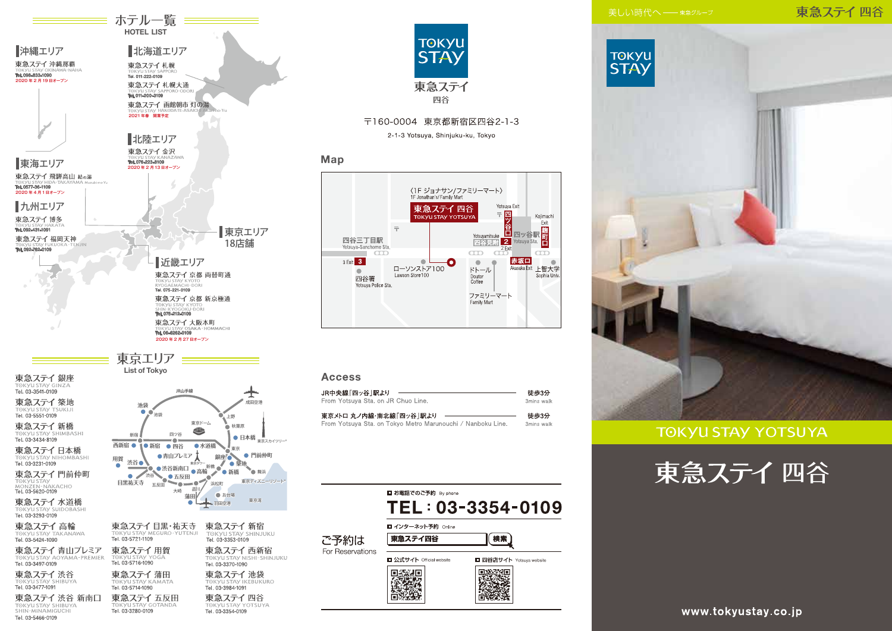## 東急ステイ四谷





### **TOKYU STAY YOTSUYA**





≡ ホテル一覧 ≡≡≡ **HOTEL LIST** 

北海道エリア

■沖縄エリア

東急ステイ 渋谷 新南口 東急ステイ五反田 TOKYU STAY SHIBUYA Tel. 03-3280-0109

Tel. 03-5466-0109

● 日本橋 <sub>東京スカイツリー</sub>。 東京ディズニーリゾート

> Tel. 03-3984-1091 東急ステイ四谷

Tel. 03-3354-0109





#### **Access**

Map

| JR中央線「四ッ谷  駅より                                              | 徒歩3分       |
|-------------------------------------------------------------|------------|
| From Yotsuya Sta. on JR Chuo Line.                          | 3mins walk |
| 東京メトロ 丸ノ内線・南北線「四ッ谷」駅より                                      | 徒歩3分       |
| From Yotsuya Sta. on Tokyo Metro Marunouchi / Nanboku Line. | 3mins walk |

**TOKYU** 

**STAY** 

東急ステイ

四谷

〒160-0004 東京都新宿区四谷2-1-3 2-1-3 Yotsuya, Shinjuku-ku, Tokyo

1F Jonathan's/Family Mart

 $\equiv$ 

ローソンストア100

Lawson Store 100

四谷三丁目駅

3 Exit 3

 $\qquad \qquad \bullet$ 

Voteuus-Sanchome Sta

四谷署

Yotsuya Police Sta.

 $\sqrt{1}$ 

東急ステイ四谷

TOKYU STAY YOTSUY

〈1F ジョナサン/ファミリーマート〉

Yotsuya Exit

Koiimachi

 $\overline{CD}$ 

Sophia Univ

Akasaka Exit 上智大学

<mark>谷</mark><br>ロ四ッ谷駅<br><mark>2</mark> Yotsuya Sta.

赤坂口

 $= \overline{R}$ 

**Yntsuvamitsul** 

四谷見附  $\overline{2}$ Exit

 $CD$ 

 $\bullet$  $\blacksquare$ 

Doutor

Coffee

ドトール

Family Mart

ファミリーマート

www.tokyustay.co.jp